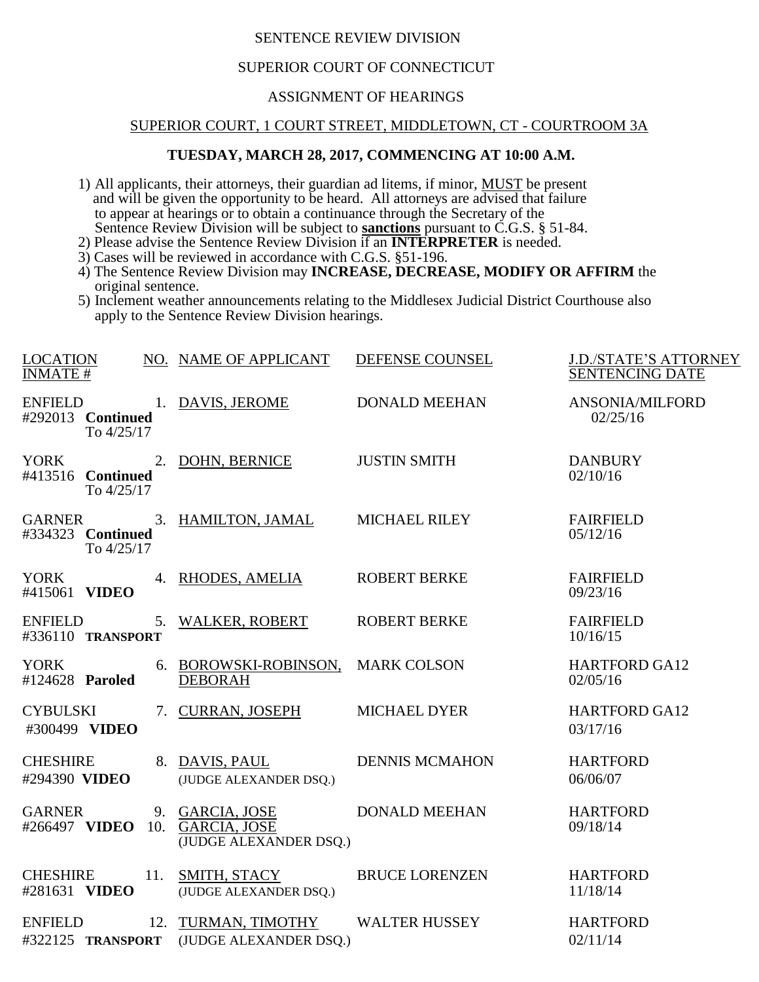# SENTENCE REVIEW DIVISION

# SUPERIOR COURT OF CONNECTICUT

# ASSIGNMENT OF HEARINGS

#### SUPERIOR COURT, 1 COURT STREET, MIDDLETOWN, CT - COURTROOM 3A

# **TUESDAY, MARCH 28, 2017, COMMENCING AT 10:00 A.M.**

- 1) All applicants, their attorneys, their guardian ad litems, if minor, MUST be present and will be given the opportunity to be heard. All attorneys are advised that failure to appear at hearings or to obtain a continuance through the Secretary of the Sentence Review Division will be subject to **sanctions** pursuant to C.G.S. § 51-84.
- 2) Please advise the Sentence Review Division if an **INTERPRETER** is needed.
- 3) Cases will be reviewed in accordance with C.G.S. §51-196.
- 4) The Sentence Review Division may **INCREASE, DECREASE, MODIFY OR AFFIRM** the original sentence.
- 5) Inclement weather announcements relating to the Middlesex Judicial District Courthouse also apply to the Sentence Review Division hearings.

| LOCATION                                                      | NO. NAME OF APPLICANT                               | DEFENSE COUNSEL       | <b>J.D./STATE'S ATTORNEY</b>       |
|---------------------------------------------------------------|-----------------------------------------------------|-----------------------|------------------------------------|
| <b>INMATE#</b>                                                |                                                     |                       | <b>SENTENCING DATE</b>             |
| ENFIELD 1. DAVIS, JEROME<br>#292013 Continued<br>To $4/25/17$ |                                                     | <b>DONALD MEEHAN</b>  | <b>ANSONIA/MILFORD</b><br>02/25/16 |
| YORK<br>#413516 Continued<br>To 4/25/17                       | 2. DOHN, BERNICE                                    | <b>JUSTIN SMITH</b>   | <b>DANBURY</b><br>02/10/16         |
| #334323 Continued<br>To 4/25/17                               | GARNER 3. HAMILTON, JAMAL MICHAEL RILEY             |                       | <b>FAIRFIELD</b><br>05/12/16       |
| YORK<br>#415061 VIDEO                                         | 4. RHODES, AMELIA                                   | <b>ROBERT BERKE</b>   | <b>FAIRFIELD</b><br>09/23/16       |
| <b>ENFIELD</b><br>#336110 TRANSPORT                           | 5. WALKER, ROBERT                                   | <b>ROBERT BERKE</b>   | <b>FAIRFIELD</b><br>10/16/15       |
| YORK<br>#124628 <b>Paroled</b>                                | 6. BOROWSKI-ROBINSON, MARK COLSON<br><b>DEBORAH</b> |                       | <b>HARTFORD GA12</b><br>02/05/16   |
| <b>CYBULSKI</b><br>#300499 VIDEO                              | 7. CURRAN, JOSEPH                                   | <b>MICHAEL DYER</b>   | <b>HARTFORD GA12</b><br>03/17/16   |
| <b>CHESHIRE</b><br>#294390 VIDEO                              | 8. DAVIS, PAUL<br>(JUDGE ALEXANDER DSQ.)            | <b>DENNIS MCMAHON</b> | <b>HARTFORD</b><br>06/06/07        |
| <b>GARNER</b><br>#266497 VIDEO 10. GARCIA, JOSE               | 9. GARCIA, JOSE<br>(JUDGE ALEXANDER DSQ.)           | <b>DONALD MEEHAN</b>  | <b>HARTFORD</b><br>09/18/14        |
| <b>CHESHIRE</b><br>11.<br>#281631 VIDEO                       | SMITH, STACY<br>(JUDGE ALEXANDER DSQ.)              | <b>BRUCE LORENZEN</b> | <b>HARTFORD</b><br>11/18/14        |
| <b>ENFIELD</b><br>#322125 TRANSPORT                           | 12. TURMAN, TIMOTHY<br>(JUDGE ALEXANDER DSO.)       | <b>WALTER HUSSEY</b>  | <b>HARTFORD</b><br>02/11/14        |